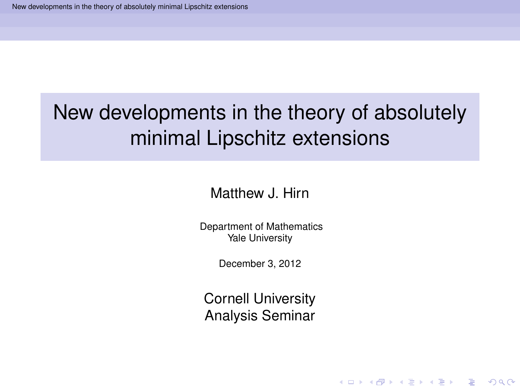Matthew J. Hirn

Department of Mathematics Yale University

December 3, 2012

<span id="page-0-0"></span>Cornell University Analysis Seminar

**KOD KARD KED KED BE YOUR**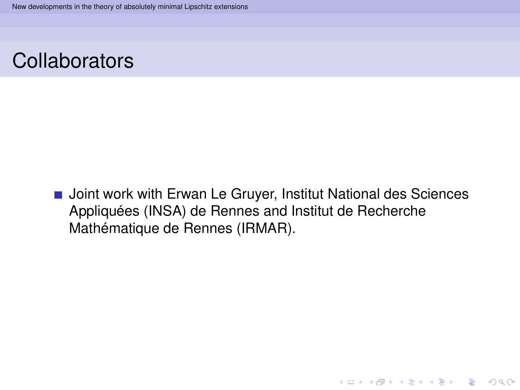

**Joint work with Erwan Le Gruyer, Institut National des Sciences** Appliquées (INSA) de Rennes and Institut de Recherche Mathématique de Rennes (IRMAR).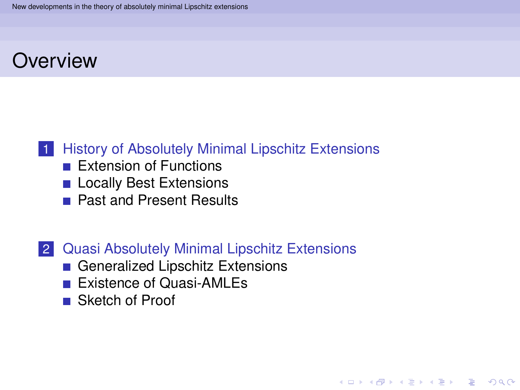## **Overview**

## 1 [History of Absolutely Minimal Lipschitz Extensions](#page-3-0)

- **[Extension of Functions](#page-4-0)**
- **[Locally Best Extensions](#page-7-0)**
- **[Past and Present Results](#page-12-0)**

### 2 [Quasi Absolutely Minimal Lipschitz Extensions](#page-16-0)

**KOD KARD KED KED BE YOUR** 

- [Generalized Lipschitz Extensions](#page-17-0)
- **[Existence of Quasi-AMLEs](#page-25-0)**
- [Sketch of Proof](#page-28-0)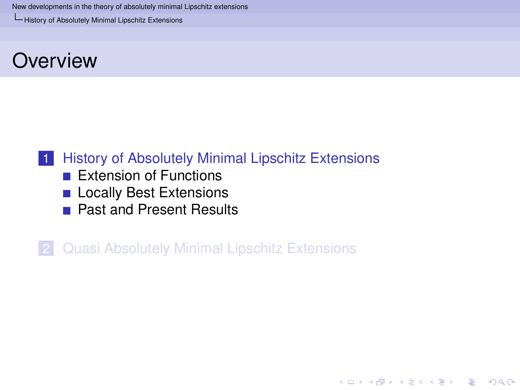[History of Absolutely Minimal Lipschitz Extensions](#page-3-0)

## **Overview**

## 1 [History of Absolutely Minimal Lipschitz Extensions](#page-3-0)

- **[Extension of Functions](#page-4-0)**
- **[Locally Best Extensions](#page-7-0)**
- **[Past and Present Results](#page-12-0)**

<span id="page-3-0"></span>2 [Quasi Absolutely Minimal Lipschitz Extensions](#page-16-0)

**KOD KARD KED KED BE YOUR**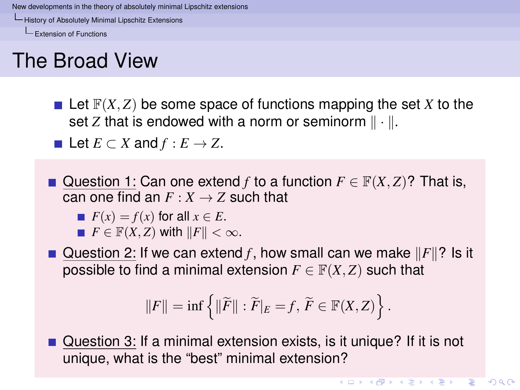[History of Absolutely Minimal Lipschitz Extensions](#page-4-0)

[Extension of Functions](#page-4-0)

# The Broad View

 $\blacksquare$  Let  $\mathbb{F}(X, Z)$  be some space of functions mapping the set X to the set *Z* that is endowed with a norm or seminorm  $\|\cdot\|$ .

**■** Let  $E \subset X$  and  $f : E \to Z$ .

Question 1: Can one extend *f* to a function  $F \in \mathbb{F}(X, Z)$ ? That is, can one find an  $F: X \rightarrow Z$  such that

$$
\blacksquare F(x) = f(x) \text{ for all } x \in E.
$$

 $F \in \mathbb{F}(X, Z)$  with  $||F|| < \infty$ .

Question 2: If we can extend *f*, how small can we make  $||F||$ ? Is it possible to find a minimal extension  $F \in \mathbb{F}(X, Z)$  such that

$$
||F|| = \inf \left\{ ||\widetilde{F}|| : \widetilde{F}|_E = f, \ \widetilde{F} \in \mathbb{F}(X, Z) \right\}.
$$

<span id="page-4-0"></span>Question 3: If a minimal extension exists, is it unique? If it is not unique, what is the "best" minimal extension?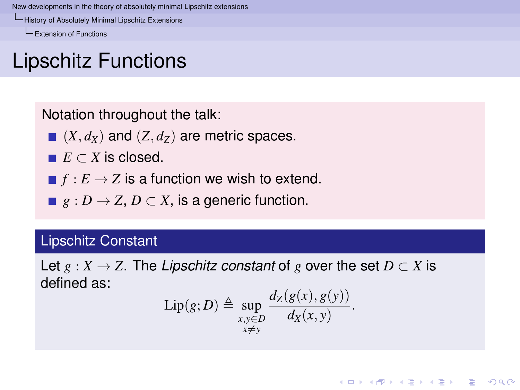[History of Absolutely Minimal Lipschitz Extensions](#page-5-0)

[Extension of Functions](#page-5-0)

# Lipschitz Functions

Notation throughout the talk:

- $(X, d_X)$  and  $(Z, d_Z)$  are metric spaces.
- $E \subset X$  is closed.
- $\blacksquare$   $f : E \to Z$  is a function we wish to extend.
- **■**  $g: D \to Z, D \subset X$ , is a generic function.

### Lipschitz Constant

<span id="page-5-0"></span>Let  $g: X \to Z$ . The *Lipschitz constant* of g over the set  $D \subset X$  is defined as:

$$
\mathrm{Lip}(g;D) \triangleq \sup_{\substack{x,y\in D\\x\neq y}} \frac{d_Z(g(x),g(y))}{d_X(x,y)}.
$$

**KOD KARD KED KED BE YOUR**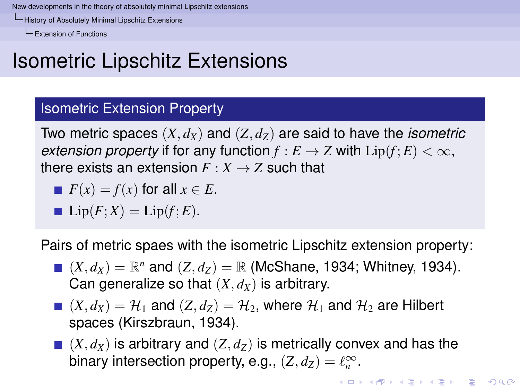[History of Absolutely Minimal Lipschitz Extensions](#page-6-0)

[Extension of Functions](#page-6-0)

# Isometric Lipschitz Extensions

### Isometric Extension Property

Two metric spaces (*X*, *dX*) and (*Z*, *dZ*) are said to have the *isometric extension property* if for any function  $f : E \to Z$  with  $Lip(f; E) < \infty$ , there exists an extension  $F: X \rightarrow Z$  such that

$$
F(x) = f(x) \text{ for all } x \in E.
$$

$$
\mathbf{Lip}(F;X) = \text{Lip}(f;E).
$$

Pairs of metric spaes with the isometric Lipschitz extension property:

- $(X, d_X) = \mathbb{R}^n$  and  $(Z, d_Z) = \mathbb{R}$  (McShane, 1934; Whitney, 1934). Can generalize so that  $(X, d_X)$  is arbitrary.
- $(X, d_X) = \mathcal{H}_1$  and  $(Z, d_Z) = \mathcal{H}_2$ , where  $\mathcal{H}_1$  and  $\mathcal{H}_2$  are Hilbert spaces (Kirszbraun, 1934).
- <span id="page-6-0"></span> $(X, d_X)$  is arbitrary and  $(Z, d_Z)$  is metrically convex and has the binary intersection property, e.g.,  $(Z, d_Z) = \ell_n^{\infty}$ .

**KOD KOD KED KED E VOOR**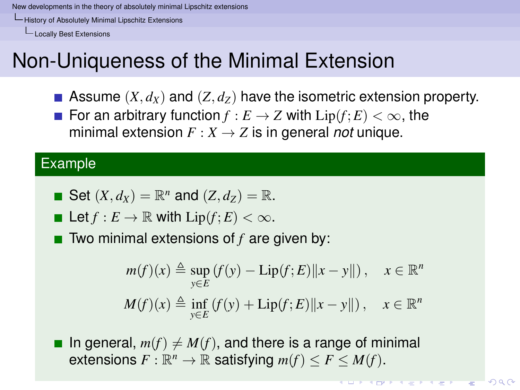[History of Absolutely Minimal Lipschitz Extensions](#page-7-0)

[Locally Best Extensions](#page-7-0)

# Non-Uniqueness of the Minimal Extension

- Assume  $(X, d_X)$  and  $(Z, d_Z)$  have the isometric extension property.
- **For an arbitrary function**  $f : E \to Z$  **with**  $Lip(f; E) < \infty$ **, the** minimal extension  $F: X \to Z$  is in general *not* unique.

#### Example

• Set 
$$
(X, d_X) = \mathbb{R}^n
$$
 and  $(Z, d_Z) = \mathbb{R}$ .

Let 
$$
f: E \to \mathbb{R}
$$
 with  $\text{Lip}(f; E) < \infty$ .

■ Two minimal extensions of *f* are given by:

$$
m(f)(x) \triangleq \sup_{y \in E} (f(y) - \text{Lip}(f; E) ||x - y||), \quad x \in \mathbb{R}^n
$$
  

$$
M(f)(x) \triangleq \inf_{y \in E} (f(y) + \text{Lip}(f; E) ||x - y||), \quad x \in \mathbb{R}^n
$$

<span id="page-7-0"></span>In general,  $m(f) \neq M(f)$ , and there is a range of minimal extensions  $F: \mathbb{R}^n \to \mathbb{R}$  satisfying  $m(f) \leq F \leq M(f)$ .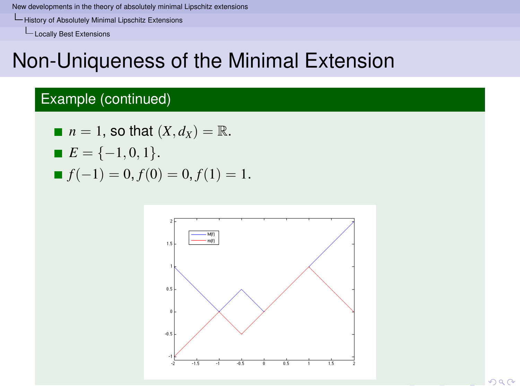[History of Absolutely Minimal Lipschitz Extensions](#page-8-0)

[Locally Best Extensions](#page-8-0)

## Non-Uniqueness of the Minimal Extension

## Example (continued)

\n- $$
n = 1
$$
, so that  $(X, d_X) = \mathbb{R}$ .
\n- $E = \{-1, 0, 1\}$ .
\n- $f(-1) = 0, f(0) = 0, f(1) = 1$ .
\n

<span id="page-8-0"></span>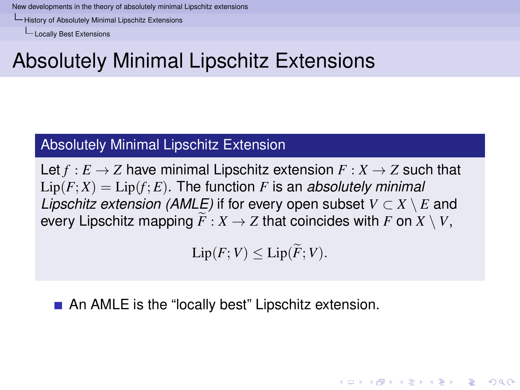[History of Absolutely Minimal Lipschitz Extensions](#page-9-0)

[Locally Best Extensions](#page-9-0)

# Absolutely Minimal Lipschitz Extensions

### Absolutely Minimal Lipschitz Extension

Let  $f : E \to Z$  have minimal Lipschitz extension  $F : X \to Z$  such that  $Lip(F;X) = Lip(f;E)$ . The function *F* is an *absolutely minimal Lipschitz extension (AMLE)* if for every open subset  $V \subset X \setminus E$  and every Lipschitz mapping  $\widetilde{F}: X \to Z$  that coincides with *F* on  $X \setminus V$ ,

 $\text{Lip}(F;V) \leq \text{Lip}(\widetilde{F};V).$ 

**KORKARA KERKER DAGA** 

<span id="page-9-0"></span>An AMLE is the "locally best" Lipschitz extension.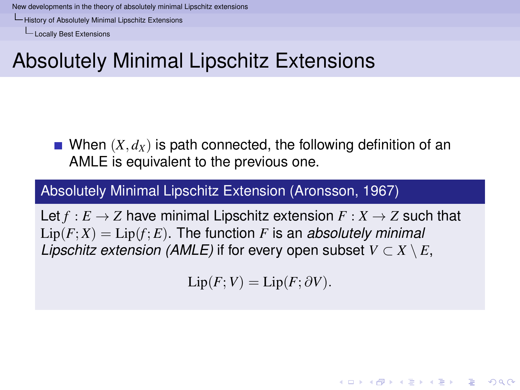[History of Absolutely Minimal Lipschitz Extensions](#page-10-0)

[Locally Best Extensions](#page-10-0)

# Absolutely Minimal Lipschitz Extensions

When  $(X, d_X)$  is path connected, the following definition of an AMLE is equivalent to the previous one.

### Absolutely Minimal Lipschitz Extension (Aronsson, 1967)

<span id="page-10-0"></span>Let  $f : E \to Z$  have minimal Lipschitz extension  $F : X \to Z$  such that  $Lip(F;X) = Lip(f;E)$ . The function *F* is an *absolutely minimal Lipschitz extension (AMLE)* if for every open subset  $V \subset X \setminus E$ ,

$$
\text{Lip}(F;V) = \text{Lip}(F;\partial V).
$$

**KORKAR KERKER E VOOR**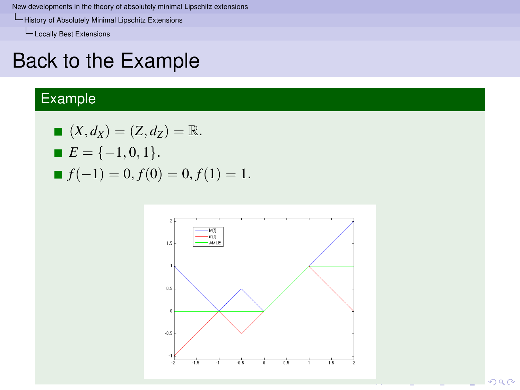[History of Absolutely Minimal Lipschitz Extensions](#page-11-0)

L<br>[Locally Best Extensions](#page-11-0)

## Back to the Example

## Example

■ 
$$
(X, d_X) = (Z, d_Z) = \mathbb{R}
$$
.  
\n■  $E = \{-1, 0, 1\}$ .  
\n■  $f(-1) = 0, f(0) = 0, f(1) = 1$ .

<span id="page-11-0"></span>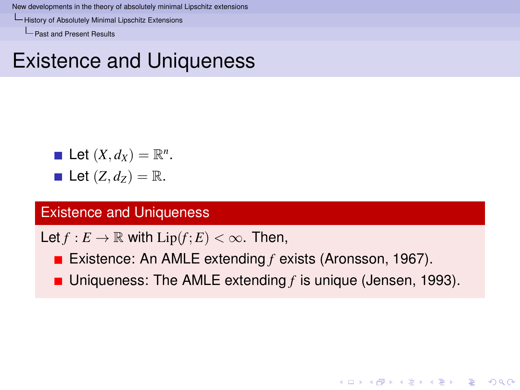[History of Absolutely Minimal Lipschitz Extensions](#page-12-0)

[Past and Present Results](#page-12-0)

## Existence and Uniqueness

\n- Let 
$$
(X, d_X) = \mathbb{R}^n
$$
.
\n- Let  $(Z, d_Z) = \mathbb{R}$ .
\n

#### Existence and Uniqueness

Let  $f: E \to \mathbb{R}$  with  $Lip(f; E) < \infty$ . Then,

- Existence: An AMLE extending *f* exists (Aronsson, 1967).
- <span id="page-12-0"></span>■ Uniqueness: The AMLE extending *f* is unique (Jensen, 1993).

**KOD KARD KED KED BE YOUR**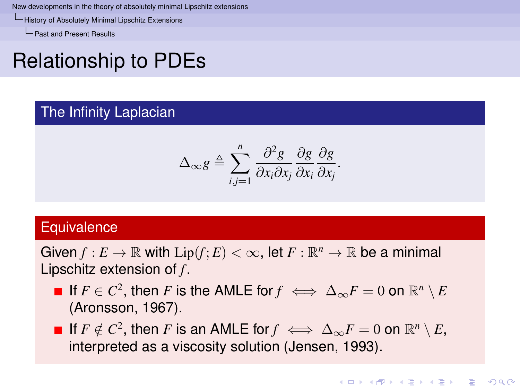[History of Absolutely Minimal Lipschitz Extensions](#page-13-0)

**L** [Past and Present Results](#page-13-0)

# Relationship to PDEs

#### The Infinity Laplacian

$$
\Delta_{\infty} g \triangleq \sum_{i,j=1}^{n} \frac{\partial^2 g}{\partial x_i \partial x_j} \frac{\partial g}{\partial x_i} \frac{\partial g}{\partial x_j}.
$$

### **Equivalence**

Given  $f: E \to \mathbb{R}$  with  $\text{Lip}(f; E) < \infty$ , let  $F: \mathbb{R}^n \to \mathbb{R}$  be a minimal Lipschitz extension of *f* .

- If  $F \in C^2$ , then  $F$  is the AMLE for  $f \iff \Delta_\infty F = 0$  on  $\mathbb{R}^n \setminus E$ (Aronsson, 1967).
- <span id="page-13-0"></span>If  $F \notin C^2$ , then *F* is an AMLE for  $f \iff \Delta_\infty F = 0$  on  $\mathbb{R}^n \setminus E$ , interpreted as a viscosity solution (Jensen, 1993).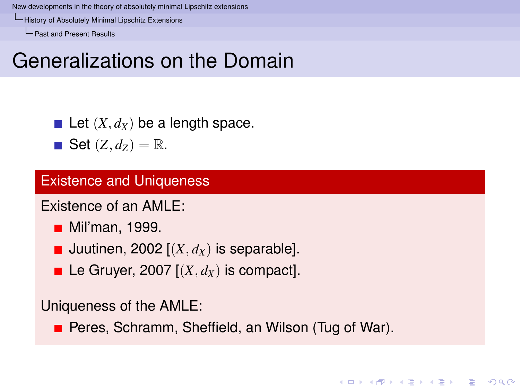[History of Absolutely Minimal Lipschitz Extensions](#page-14-0)

[Past and Present Results](#page-14-0)

## Generalizations on the Domain

Let  $(X, d_X)$  be a length space.

 $\blacksquare$  Set  $(Z, d_Z) = \mathbb{R}$ .

#### Existence and Uniqueness

Existence of an AMLE:

- **Mil**'man, 1999.
- Juutinen, 2002  $[(X, d_X)]$  is separable].
- Le Gruyer, 2007  $[(X, d_X)]$  is compact.

Uniqueness of the AMLE:

<span id="page-14-0"></span>**Peres, Schramm, Sheffield, an Wilson (Tug of War).**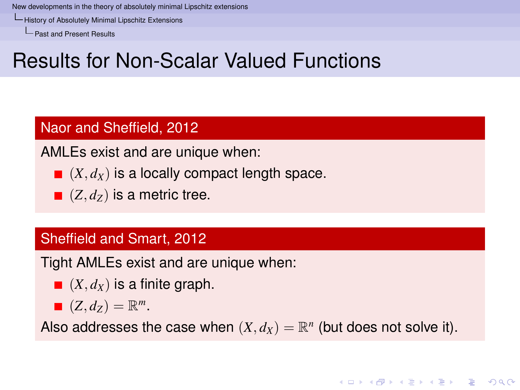[History of Absolutely Minimal Lipschitz Extensions](#page-15-0)

[Past and Present Results](#page-15-0)

# Results for Non-Scalar Valued Functions

### Naor and Sheffield, 2012

AMLEs exist and are unique when:

- $(X, d_X)$  is a locally compact length space.
- $( Z, d_Z )$  is a metric tree.

### Sheffield and Smart, 2012

Tight AMLEs exist and are unique when:

- $\blacksquare$   $(X, d_X)$  is a finite graph.
- $(Z, d_Z) = \mathbb{R}^m$ .

<span id="page-15-0"></span>Also addresses the case when  $(X, d_X) = \mathbb{R}^n$  (but does not solve it).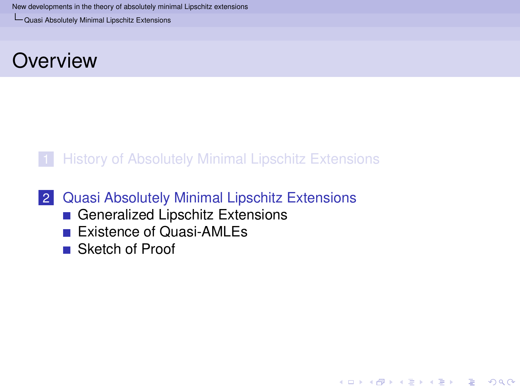[Quasi Absolutely Minimal Lipschitz Extensions](#page-16-0)

## **Overview**

### 1 [History of Absolutely Minimal Lipschitz Extensions](#page-3-0)

**KOD KARD KED KED BE YOUR** 

### 2 [Quasi Absolutely Minimal Lipschitz Extensions](#page-16-0)

- [Generalized Lipschitz Extensions](#page-17-0)
- **[Existence of Quasi-AMLEs](#page-25-0)**
- <span id="page-16-0"></span>■ [Sketch of Proof](#page-28-0)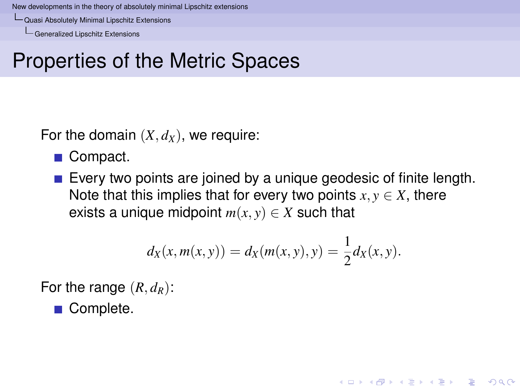[Quasi Absolutely Minimal Lipschitz Extensions](#page-17-0)

[Generalized Lipschitz Extensions](#page-17-0)

# Properties of the Metric Spaces

For the domain  $(X, d_X)$ , we require:

- Compact.
- Every two points are joined by a unique geodesic of finite length. Note that this implies that for every two points  $x, y \in X$ , there exists a unique midpoint  $m(x, y) \in X$  such that

$$
d_X(x, m(x, y)) = d_X(m(x, y), y) = \frac{1}{2}d_X(x, y).
$$

**KORK ERKER ADAM ADA** 

For the range  $(R, d_R)$ :

<span id="page-17-0"></span>■ Complete.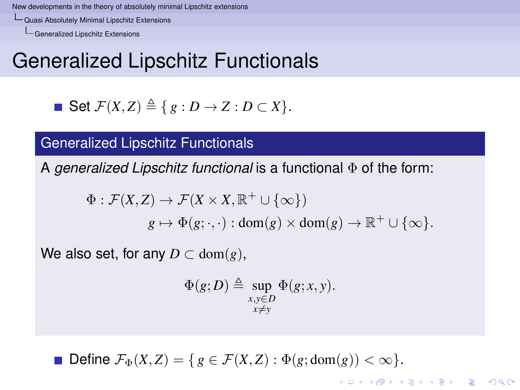[Quasi Absolutely Minimal Lipschitz Extensions](#page-18-0)

[Generalized Lipschitz Extensions](#page-18-0)

## Generalized Lipschitz Functionals

• Set 
$$
\mathcal{F}(X, Z) \triangleq \{ g : D \to Z : D \subset X \}.
$$

### Generalized Lipschitz Functionals

A *generalized Lipschitz functional* is a functional Φ of the form:

$$
\Phi : \mathcal{F}(X,Z) \to \mathcal{F}(X \times X, \mathbb{R}^+ \cup \{\infty\})
$$
  

$$
g \mapsto \Phi(g; \cdot, \cdot) : \text{dom}(g) \times \text{dom}(g) \to \mathbb{R}^+ \cup \{\infty\}.
$$

We also set, for any  $D \subset \text{dom}(g)$ ,

$$
\Phi(g;D) \triangleq \sup_{\substack{x,y \in D \\ x \neq y}} \Phi(g;x,y).
$$

**KORK ERKER ADAM ADA** 

<span id="page-18-0"></span>**Define**  $\mathcal{F}_{\Phi}(X, Z) = \{ g \in \mathcal{F}(X, Z) : \Phi(g; \text{dom}(g)) < \infty \}.$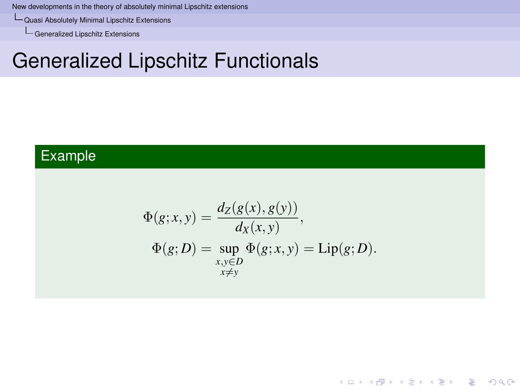[Quasi Absolutely Minimal Lipschitz Extensions](#page-19-0)

[Generalized Lipschitz Extensions](#page-19-0)

# Generalized Lipschitz Functionals

## <span id="page-19-0"></span>Example

$$
\Phi(g; x, y) = \frac{d_Z(g(x), g(y))}{d_X(x, y)},
$$
  
\n
$$
\Phi(g; D) = \sup_{\substack{x, y \in D \\ x \neq y}} \Phi(g; x, y) = \text{Lip}(g; D).
$$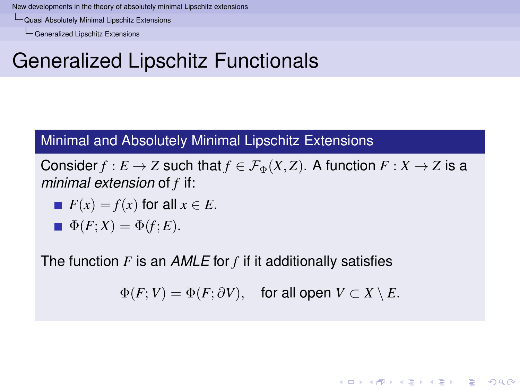[Quasi Absolutely Minimal Lipschitz Extensions](#page-20-0)

[Generalized Lipschitz Extensions](#page-20-0)

# Generalized Lipschitz Functionals

#### Minimal and Absolutely Minimal Lipschitz Extensions

Consider  $f : E \to Z$  such that  $f \in \mathcal{F}_{\Phi}(X, Z)$ . A function  $F : X \to Z$  is a *minimal extension* of *f* if:

$$
\blacksquare F(x) = f(x) \text{ for all } x \in E.
$$

$$
\blacksquare \Phi(F;X) = \Phi(f;E).
$$

<span id="page-20-0"></span>The function *F* is an *AMLE* for *f* if it additionally satisfies

 $\Phi(F; V) = \Phi(F; \partial V)$ , for all open  $V \subset X \setminus E$ .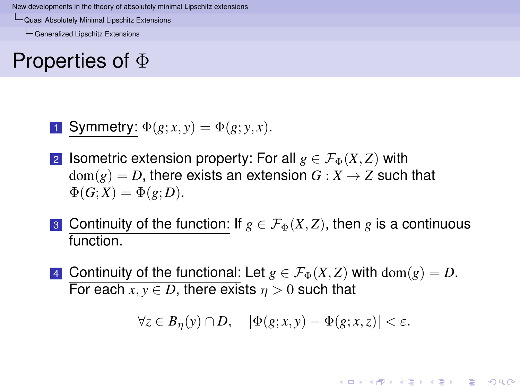[Quasi Absolutely Minimal Lipschitz Extensions](#page-21-0)

[Generalized Lipschitz Extensions](#page-21-0)

## Properties of Φ

**1** Symmetry: 
$$
\Phi(g; x, y) = \Phi(g; y, x)
$$
.

- 2 **Isometric extension property: For all**  $g \in \mathcal{F}_{\Phi}(X, Z)$  with  $dom(g) = D$ , there exists an extension  $G: X \rightarrow Z$  such that  $\Phi(G;X) = \Phi(g;D).$
- 3 Continuity of the function: If  $g \in \mathcal{F}_{\Phi}(X, Z)$ , then g is a continuous function.
- <span id="page-21-0"></span>4 Continuity of the functional: Let  $g \in \mathcal{F}_{\Phi}(X, Z)$  with  $dom(g) = D$ . For each  $x, y \in D$ , there exists  $n > 0$  such that

 $\forall z \in B_n(y) \cap D, \quad |\Phi(g; x, y) - \Phi(g; x, z)| < \varepsilon.$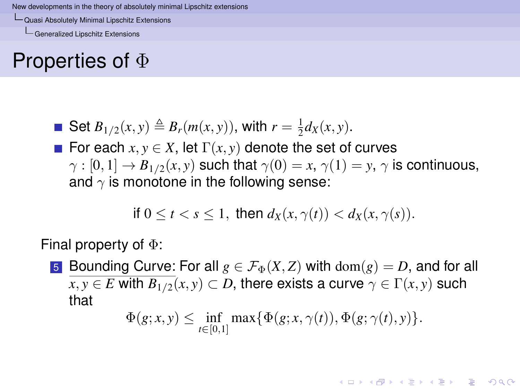[Quasi Absolutely Minimal Lipschitz Extensions](#page-22-0)

[Generalized Lipschitz Extensions](#page-22-0)

## Properties of Φ

- Set  $B_{1/2}(x, y) \triangleq B_r(m(x, y))$ , with  $r = \frac{1}{2}d_X(x, y)$ .
- For each  $x, y \in X$ , let  $\Gamma(x, y)$  denote the set of curves  $\gamma : [0, 1] \to B_{1/2}(x, y)$  such that  $\gamma(0) = x, \gamma(1) = y, \gamma$  is continuous, and  $\gamma$  is monotone in the following sense:

if 
$$
0 \le t < s \le 1
$$
, then  $d_X(x, \gamma(t)) < d_X(x, \gamma(s))$ .

Final property of Φ:

<span id="page-22-0"></span>5 Bounding Curve: For all  $g \in \mathcal{F}_{\Phi}(X, Z)$  with  $dom(g) = D$ , and for all  $x, y \in E$  with  $B_{1/2}(x, y) \subset D$ , there exists a curve  $\gamma \in \Gamma(x, y)$  such that

$$
\Phi(g; x, y) \leq \inf_{t \in [0,1]} \max \{ \Phi(g; x, \gamma(t)), \Phi(g; \gamma(t), y) \}.
$$

**KOD KOD KED KED E VOOR**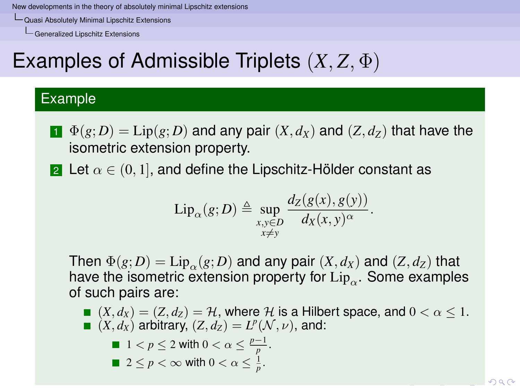[Quasi Absolutely Minimal Lipschitz Extensions](#page-23-0)

[Generalized Lipschitz Extensions](#page-23-0)

# Examples of Admissible Triplets (*X*, *Z*, Φ)

### Example

- $\mathbf{I}$   $\Phi(g;D) = \text{Lip}(g;D)$  and any pair  $(X,d_X)$  and  $(Z,d_Z)$  that have the isometric extension property.
- 2 Let  $\alpha \in (0,1]$ , and define the Lipschitz-Hölder constant as

$$
\mathrm{Lip}_{\alpha}(g;D) \triangleq \sup_{\substack{x,y\in D\\x\neq y}} \frac{d_Z(g(x),g(y))}{d_X(x,y)^{\alpha}}.
$$

Then  $\Phi(g; D) = \text{Lip}_{\alpha}(g; D)$  and any pair  $(X, d_X)$  and  $(Z, d_Z)$  that have the isometric extension property for  $\operatorname{Lip}_\alpha.$  Some examples of such pairs are:

<span id="page-23-0"></span> $(X, d_X) = (Z, d_Z) = \mathcal{H}$ , where  $\mathcal{H}$  is a Hilbert space, and  $0 < \alpha < 1$ .  $(X, d_X)$  arbitrary,  $(Z, d_Z) = L^p(\mathcal{N}, \nu)$ , and:

\n- 1 
$$
\langle p \leq 2 \text{ with } 0 < \alpha \leq \frac{p-1}{p}
$$
.
\n- 2 \leq p < \infty \text{ with } 0 < \alpha \leq \frac{1}{p}.
\n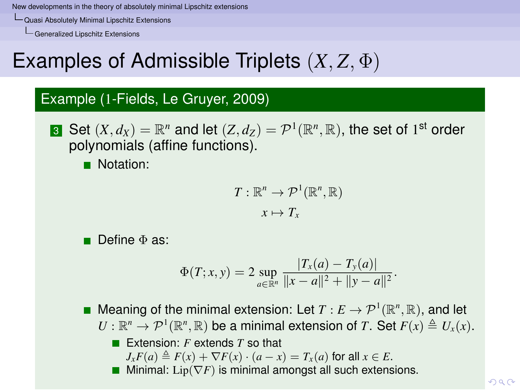[Quasi Absolutely Minimal Lipschitz Extensions](#page-24-0)

[Generalized Lipschitz Extensions](#page-24-0)

# Examples of Admissible Triplets (*X*, *Z*, Φ)

### Example (1-Fields, Le Gruyer, 2009)

**3** Set  $(X, d_X) = \mathbb{R}^n$  and let  $(Z, d_Z) = \mathcal{P}^1(\mathbb{R}^n, \mathbb{R}),$  the set of 1<sup>st</sup> order polynomials (affine functions).

**Notation:** 

$$
T: \mathbb{R}^n \to \mathcal{P}^1(\mathbb{R}^n, \mathbb{R})
$$

$$
x \mapsto T_x
$$

■ Define Φ as:

$$
\Phi(T;x,y) = 2 \sup_{a \in \mathbb{R}^n} \frac{|T_x(a) - T_y(a)|}{\|x - a\|^2 + \|y - a\|^2}.
$$

Meaning of the minimal extension: Let  $T: E \to \mathcal{P}^1(\mathbb{R}^n, \mathbb{R})$ , and let  $U: \mathbb{R}^n \to \mathcal{P}^1(\mathbb{R}^n, \mathbb{R})$  be a minimal extension of *T*. Set  $F(x) \triangleq U_x(x)$ . ■ Extension: *F* extends *T* so that

- $J_xF(a) \triangleq F(x) + \nabla F(x) \cdot (a-x) = T_x(a)$  for all  $x \in E$ .
- <span id="page-24-0"></span>**Mi[n](#page-17-0)imal:** Lip( $\nabla F$ ) is minimal amongst all [suc](#page-23-0)[h e](#page-25-0)[x](#page-23-0)[ten](#page-24-0)[si](#page-25-0)[o](#page-16-0)n[s.](#page-24-0)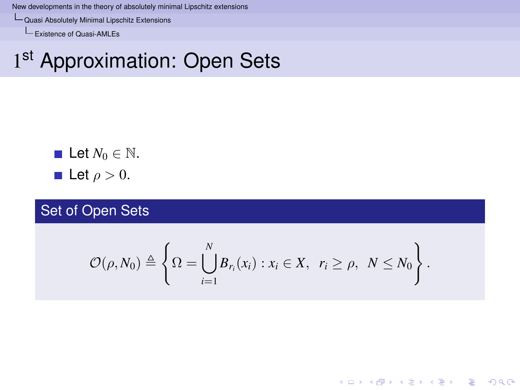[Quasi Absolutely Minimal Lipschitz Extensions](#page-25-0)

[Existence of Quasi-AMLEs](#page-25-0)

# 1st Approximation: Open Sets

\n- Let 
$$
N_0 \in \mathbb{N}
$$
.
\n- Let  $\rho > 0$ .
\n

Set of Open Sets

<span id="page-25-0"></span>
$$
\mathcal{O}(\rho,N_0)\triangleq\left\{\Omega=\bigcup_{i=1}^N B_{r_i}(x_i):x_i\in X,\ r_i\geq\rho,\ N\leq N_0\right\}.
$$

K ロ ▶ K @ ▶ K 할 ▶ K 할 ▶ | 할 | K 9 Q Q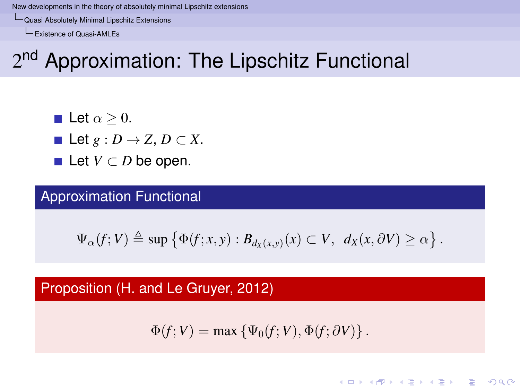[Quasi Absolutely Minimal Lipschitz Extensions](#page-26-0)

[Existence of Quasi-AMLEs](#page-26-0)

# 2<sup>nd</sup> Approximation: The Lipschitz Functional

- **Let**  $\alpha > 0$ .
- Let  $g: D \to Z$ ,  $D \subset X$ .
- **Let**  $V \subset D$  be open.

### Approximation Functional

$$
\Psi_{\alpha}(f;V) \triangleq \sup \left\{ \Phi(f;x,y) : B_{d_X(x,y)}(x) \subset V, \ d_X(x,\partial V) \geq \alpha \right\}.
$$

### <span id="page-26-0"></span>Proposition (H. and Le Gruyer, 2012)

$$
\Phi(f;V) = \max \left\{ \Psi_0(f;V), \Phi(f;\partial V) \right\}.
$$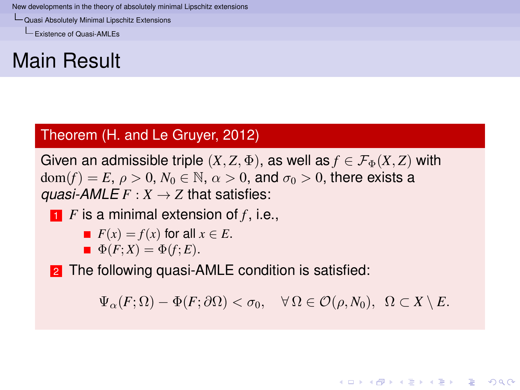[Quasi Absolutely Minimal Lipschitz Extensions](#page-27-0)

[Existence of Quasi-AMLEs](#page-27-0)

## Main Result

### Theorem (H. and Le Gruyer, 2012)

Given an admissible triple  $(X, Z, \Phi)$ , as well as  $f \in \mathcal{F}_{\Phi}(X, Z)$  with  $dom(f) = E$ ,  $\rho > 0$ ,  $N_0 \in \mathbb{N}$ ,  $\alpha > 0$ , and  $\sigma_0 > 0$ , there exists a *guasi-AMLE*  $F: X \rightarrow Z$  that satisfies:

$$
\bullet
$$
 *F* is a minimal extension of *f*, i.e.,

$$
\blacksquare \ \ F(x) = f(x) \text{ for all } x \in E.
$$

 $\Phi(F;X) = \Phi(f;E).$ 

<span id="page-27-0"></span>2 The following quasi-AMLE condition is satisfied:

 $\Psi_{\alpha}(F;\Omega) - \Phi(F;\partial\Omega) < \sigma_0, \quad \forall \Omega \in \mathcal{O}(\rho,N_0), \ \Omega \subset X \setminus E.$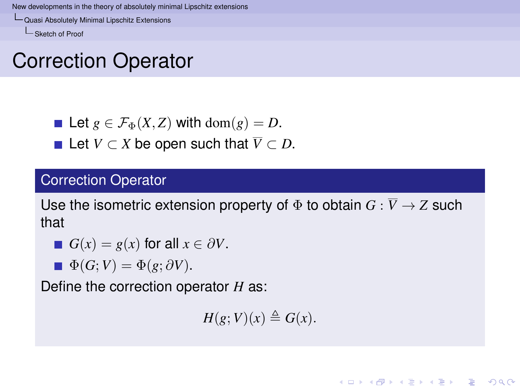[Quasi Absolutely Minimal Lipschitz Extensions](#page-28-0)

[Sketch of Proof](#page-28-0)

## Correction Operator

- Let  $g \in \mathcal{F}_{\Phi}(X, Z)$  with dom $(g) = D$ .
- **■** Let  $V \subset X$  be open such that  $\overline{V} \subset D$ .

### Correction Operator

Use the isometric extension property of  $\Phi$  to obtain  $G : \overline{V} \to Z$  such that

■ 
$$
G(x) = g(x)
$$
 for all  $x \in \partial V$ .

 $\Phi(G;V) = \Phi(g; \partial V).$ 

<span id="page-28-0"></span>Define the correction operator *H* as:

 $H(g; V)(x) \triangleq G(x)$ .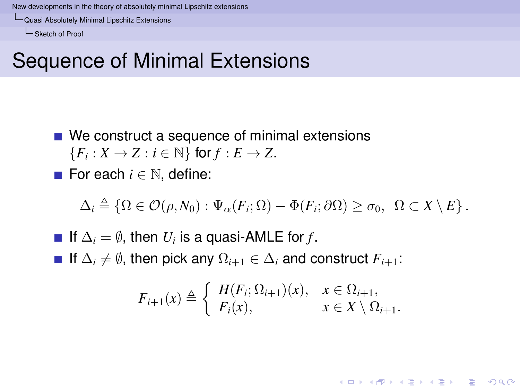[Quasi Absolutely Minimal Lipschitz Extensions](#page-29-0)

[Sketch of Proof](#page-29-0)

## Sequence of Minimal Extensions

- We construct a sequence of minimal extensions  ${F_i : X \to Z : i \in \mathbb{N} }$  for  $f : E \to Z$ .
- For each *i* ∈ N, define:

$$
\Delta_i \triangleq \{ \Omega \in \mathcal{O}(\rho, N_0) : \Psi_\alpha(F_i; \Omega) - \Phi(F_i; \partial \Omega) \geq \sigma_0, \ \Omega \subset X \setminus E \}.
$$

<span id="page-29-0"></span>If  $\Delta_i = \emptyset$ , then  $U_i$  is a quasi-AMLE for *f*. **■** If  $\Delta_i \neq \emptyset$ , then pick any  $\Omega_{i+1} \in \Delta_i$  and construct  $F_{i+1}$ :

$$
F_{i+1}(x) \triangleq \begin{cases} H(F_i; \Omega_{i+1})(x), & x \in \Omega_{i+1}, \\ F_i(x), & x \in X \setminus \Omega_{i+1}. \end{cases}
$$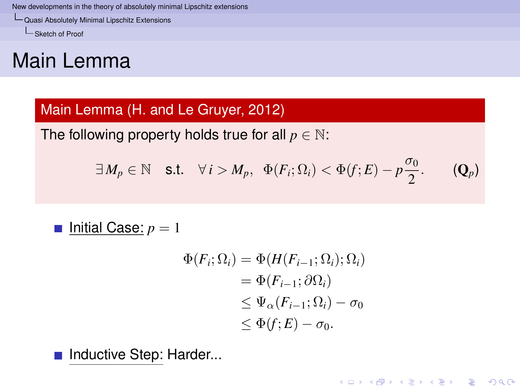[Quasi Absolutely Minimal Lipschitz Extensions](#page-30-0)

[Sketch of Proof](#page-30-0)

# Main Lemma

### Main Lemma (H. and Le Gruyer, 2012)

The following property holds true for all  $p \in \mathbb{N}$ :

$$
\exists M_p \in \mathbb{N} \quad \text{s.t.} \quad \forall i > M_p, \ \ \Phi(F_i; \Omega_i) < \Phi(f; E) - p\frac{\sigma_0}{2}.
$$

■ Initial Case: 
$$
p = 1
$$

$$
\Phi(F_i; \Omega_i) = \Phi(H(F_{i-1}; \Omega_i); \Omega_i)
$$
  
= 
$$
\Phi(F_{i-1}; \partial \Omega_i)
$$
  

$$
\leq \Psi_{\alpha}(F_{i-1}; \Omega_i) - \sigma_0
$$
  

$$
\leq \Phi(f; E) - \sigma_0.
$$

K ロ ▶ K @ ▶ K 할 ▶ K 할 ▶ 이 할 → 9 Q Q\*

<span id="page-30-0"></span>Inductive Step: Harder...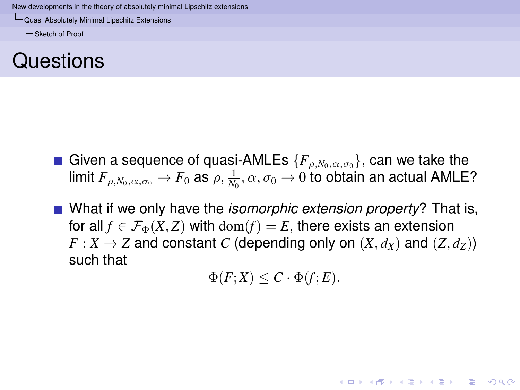[Quasi Absolutely Minimal Lipschitz Extensions](#page-31-0)

[Sketch of Proof](#page-31-0)

## Questions

- Given a sequence of quasi-AMLEs  ${F_{\alpha N_0,\alpha,\sigma_0}}$ , can we take the limit  $F_{\rho,N_0,\alpha,\sigma_0}\to F_0$  as  $\rho,\frac{1}{N_0},\alpha,\sigma_0\to 0$  to obtain an actual <code>AMLE?</code>
- <span id="page-31-0"></span>■ What if we only have the *isomorphic extension property*? That is, for all  $f \in \mathcal{F}_{\Phi}(X, Z)$  with  $dom(f) = E$ , there exists an extension  $F: X \to Z$  and constant *C* (depending only on  $(X, d_X)$  and  $(Z, d_Z)$ ) such that

$$
\Phi(F;X) \leq C \cdot \Phi(f;E).
$$

**KORKAR KERKER E VOOR**